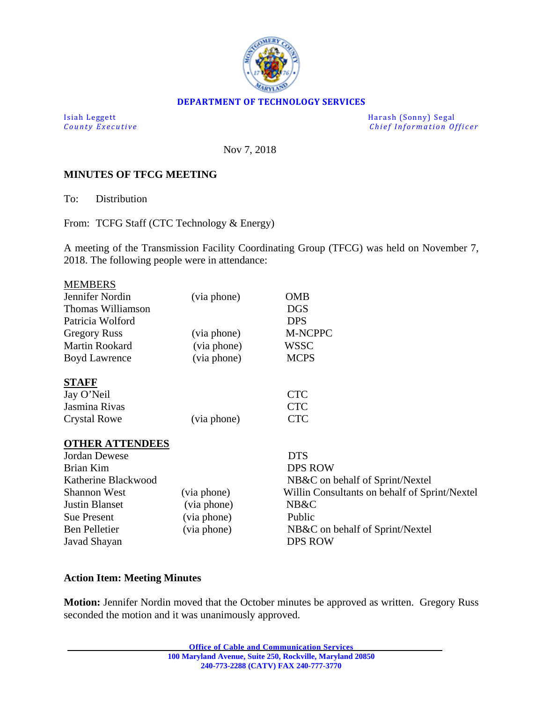

#### **DEPARTMENT OF TECHNOLOGY SERVICES**

Isiah Leggett Harash (Sonny) Segal *Chief Information Officer* 

Nov 7, 2018

## **MINUTES OF TFCG MEETING**

To: Distribution

From: TCFG Staff (CTC Technology & Energy)

A meeting of the Transmission Facility Coordinating Group (TFCG) was held on November 7, 2018. The following people were in attendance:

| <b>MEMBERS</b>         |             |                                               |
|------------------------|-------------|-----------------------------------------------|
| Jennifer Nordin        | (via phone) | <b>OMB</b>                                    |
| Thomas Williamson      |             | <b>DGS</b>                                    |
| Patricia Wolford       |             | <b>DPS</b>                                    |
| <b>Gregory Russ</b>    | (via phone) | <b>M-NCPPC</b>                                |
| Martin Rookard         | (via phone) | WSSC                                          |
| <b>Boyd Lawrence</b>   | (via phone) | <b>MCPS</b>                                   |
| <b>STAFF</b>           |             |                                               |
| Jay O'Neil             |             | <b>CTC</b>                                    |
| Jasmina Rivas          |             | <b>CTC</b>                                    |
| <b>Crystal Rowe</b>    | (via phone) | <b>CTC</b>                                    |
| <b>OTHER ATTENDEES</b> |             |                                               |
| <b>Jordan Dewese</b>   |             | <b>DTS</b>                                    |
| <b>Brian Kim</b>       |             | <b>DPS ROW</b>                                |
| Katherine Blackwood    |             | NB&C on behalf of Sprint/Nextel               |
| <b>Shannon West</b>    | (via phone) | Willin Consultants on behalf of Sprint/Nextel |
| <b>Justin Blanset</b>  | (via phone) | NB&C                                          |
| <b>Sue Present</b>     | (via phone) | Public                                        |
| <b>Ben Pelletier</b>   | (via phone) | NB&C on behalf of Sprint/Nextel               |
| Javad Shayan           |             | <b>DPS ROW</b>                                |
|                        |             |                                               |

### **Action Item: Meeting Minutes**

**Motion:** Jennifer Nordin moved that the October minutes be approved as written. Gregory Russ seconded the motion and it was unanimously approved.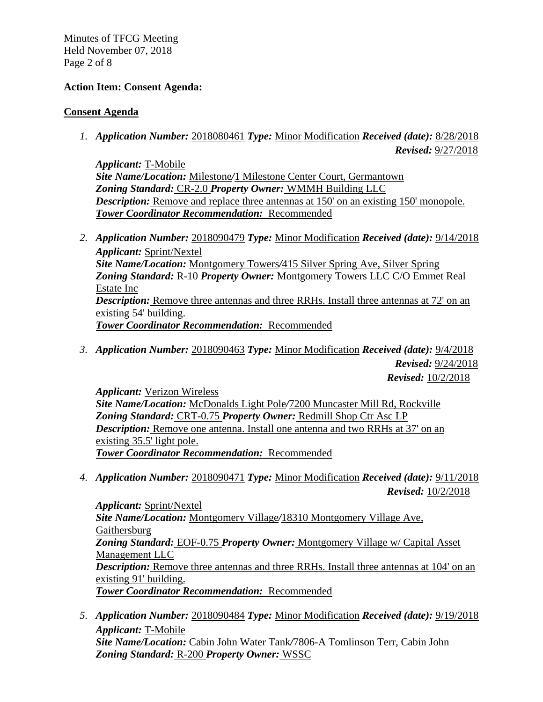Minutes of TFCG Meeting Held November 07, 2018 Page 2 of 8

## **Action Item: Consent Agenda:**

## **Consent Agenda**

*1. Application Number:* 2018080461 *Type:* Minor Modification *Received (date):* 8/28/2018

*Revised:* 9/27/2018

*Applicant:* T-Mobile *Site Name/Location:* Milestone*/*1 Milestone Center Court, Germantown *Zoning Standard:* CR-2.0 *Property Owner:* WMMH Building LLC *Description:* Remove and replace three antennas at 150' on an existing 150' monopole. *Tower Coordinator Recommendation:* Recommended

- *2. Application Number:* 2018090479 *Type:* Minor Modification *Received (date):* 9/14/2018 *Applicant:* Sprint/Nextel *Site Name/Location:* Montgomery Towers*/*415 Silver Spring Ave, Silver Spring *Zoning Standard:* R-10 *Property Owner:* Montgomery Towers LLC C/O Emmet Real Estate Inc *Description:* Remove three antennas and three RRHs. Install three antennas at 72' on an existing 54' building. *Tower Coordinator Recommendation:* Recommended
- *3. Application Number:* 2018090463 *Type:* Minor Modification *Received (date):* 9/4/2018 *Revised:* 9/24/2018 *Revised:* 10/2/2018

*Applicant:* Verizon Wireless *Site Name/Location:* McDonalds Light Pole*/*7200 Muncaster Mill Rd, Rockville *Zoning Standard:* CRT-0.75 *Property Owner:* Redmill Shop Ctr Asc LP *Description:* Remove one antenna. Install one antenna and two RRHs at 37' on an existing 35.5' light pole. *Tower Coordinator Recommendation:* Recommended

*4. Application Number:* 2018090471 *Type:* Minor Modification *Received (date):* 9/11/2018 *Revised:* 10/2/2018

*Applicant:* Sprint/Nextel *Site Name/Location:* Montgomery Village*/*18310 Montgomery Village Ave, Gaithersburg *Zoning Standard:* EOF-0.75 *Property Owner:* Montgomery Village w/ Capital Asset Management LLC *Description:* Remove three antennas and three RRHs. Install three antennas at 104' on an existing 91' building. *Tower Coordinator Recommendation:* Recommended

*5. Application Number:* 2018090484 *Type:* Minor Modification *Received (date):* 9/19/2018 *Applicant:* T-Mobile *Site Name/Location:* Cabin John Water Tank*/*7806-A Tomlinson Terr, Cabin John *Zoning Standard:* R-200 *Property Owner:* WSSC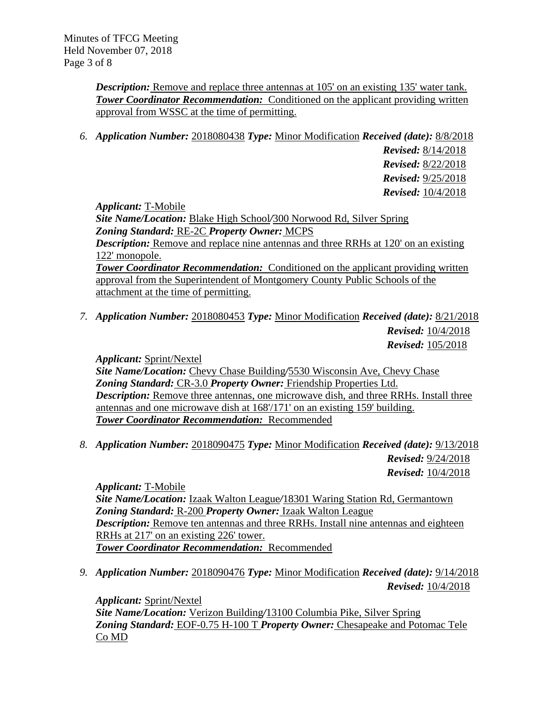*Description:* Remove and replace three antennas at 105' on an existing 135' water tank. **Tower Coordinator Recommendation:** Conditioned on the applicant providing written approval from WSSC at the time of permitting.

*6. Application Number:* 2018080438 *Type:* Minor Modification *Received (date):* 8/8/2018

*Revised:* 8/14/2018 *Revised:* 8/22/2018 *Revised:* 9/25/2018 *Revised:* 10/4/2018

*Applicant:* T-Mobile

*Site Name/Location:* Blake High School*/*300 Norwood Rd, Silver Spring *Zoning Standard:* RE-2C *Property Owner:* MCPS *Description:* Remove and replace nine antennas and three RRHs at 120' on an existing 122' monopole. **Tower Coordinator Recommendation:** Conditioned on the applicant providing written approval from the Superintendent of Montgomery County Public Schools of the attachment at the time of permitting.

*7. Application Number:* 2018080453 *Type:* Minor Modification *Received (date):* 8/21/2018 *Revised:* 10/4/2018

*Revised:* 105/2018

*Applicant:* Sprint/Nextel

*Site Name/Location:* Chevy Chase Building*/*5530 Wisconsin Ave, Chevy Chase *Zoning Standard:* CR-3.0 *Property Owner:* Friendship Properties Ltd. *Description:* Remove three antennas, one microwave dish, and three RRHs. Install three antennas and one microwave dish at 168'/171' on an existing 159' building. *Tower Coordinator Recommendation:* Recommended

*8. Application Number:* 2018090475 *Type:* Minor Modification *Received (date):* 9/13/2018 *Revised:* 9/24/2018 *Revised:* 10/4/2018

*Applicant:* T-Mobile *Site Name/Location:* Izaak Walton League*/*18301 Waring Station Rd, Germantown *Zoning Standard:* R-200 *Property Owner:* Izaak Walton League *Description:* Remove ten antennas and three RRHs. Install nine antennas and eighteen RRHs at 217' on an existing 226' tower. *Tower Coordinator Recommendation:* Recommended

*9. Application Number:* 2018090476 *Type:* Minor Modification *Received (date):* 9/14/2018 *Revised:* 10/4/2018

*Applicant:* Sprint/Nextel *Site Name/Location:* Verizon Building*/*13100 Columbia Pike, Silver Spring *Zoning Standard:* EOF-0.75 H-100 T *Property Owner:* Chesapeake and Potomac Tele Co MD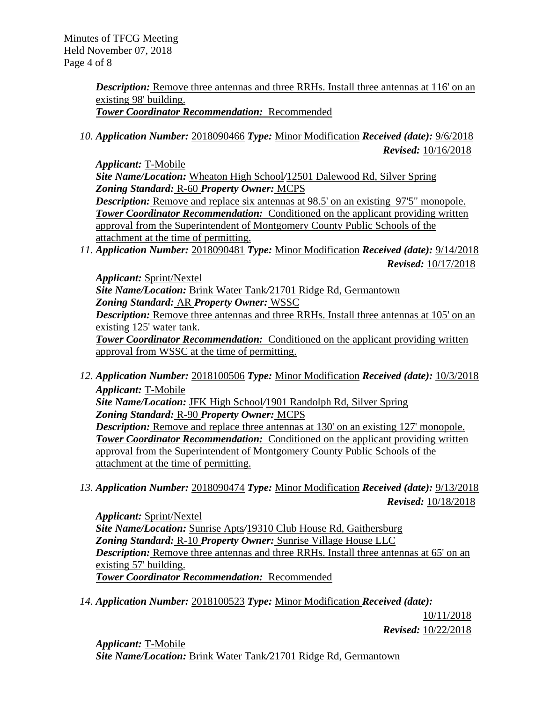Minutes of TFCG Meeting Held November 07, 2018 Page 4 of 8

> **Description:** Remove three antennas and three RRHs. Install three antennas at 116' on an existing 98' building. *Tower Coordinator Recommendation:* Recommended

*10. Application Number:* 2018090466 *Type:* Minor Modification *Received (date):* 9/6/2018 *Revised:* 10/16/2018

*Applicant:* T-Mobile *Site Name/Location:* Wheaton High School*/*12501 Dalewood Rd, Silver Spring *Zoning Standard:* R-60 *Property Owner:* MCPS *Description:* Remove and replace six antennas at 98.5' on an existing 97'5" monopole. *Tower Coordinator Recommendation:* Conditioned on the applicant providing written approval from the Superintendent of Montgomery County Public Schools of the attachment at the time of permitting.

*11. Application Number:* 2018090481 *Type:* Minor Modification *Received (date):* 9/14/2018 *Revised:* 10/17/2018

*Applicant:* Sprint/Nextel *Site Name/Location:* Brink Water Tank*/*21701 Ridge Rd, Germantown *Zoning Standard:* AR *Property Owner:* WSSC *Description:* Remove three antennas and three RRHs. Install three antennas at 105' on an existing 125' water tank. *Tower Coordinator Recommendation:* Conditioned on the applicant providing written

approval from WSSC at the time of permitting.

- *12. Application Number:* 2018100506 *Type:* Minor Modification *Received (date):* 10/3/2018 *Applicant:* T-Mobile *Site Name/Location:* JFK High School*/*1901 Randolph Rd, Silver Spring *Zoning Standard:* R-90 *Property Owner:* MCPS *Description:* Remove and replace three antennas at 130' on an existing 127' monopole. **Tower Coordinator Recommendation:** Conditioned on the applicant providing written approval from the Superintendent of Montgomery County Public Schools of the attachment at the time of permitting.
- *13. Application Number:* 2018090474 *Type:* Minor Modification *Received (date):* 9/13/2018 *Revised:* 10/18/2018

*Applicant:* Sprint/Nextel *Site Name/Location:* Sunrise Apts*/*19310 Club House Rd, Gaithersburg *Zoning Standard:* R-10 *Property Owner:* Sunrise Village House LLC *Description:* Remove three antennas and three RRHs. Install three antennas at 65' on an existing 57' building. *Tower Coordinator Recommendation:* Recommended

*14. Application Number:* 2018100523 *Type:* Minor Modification *Received (date):* 

10/11/2018 *Revised:* 10/22/2018

*Applicant:* T-Mobile *Site Name/Location:* Brink Water Tank*/*21701 Ridge Rd, Germantown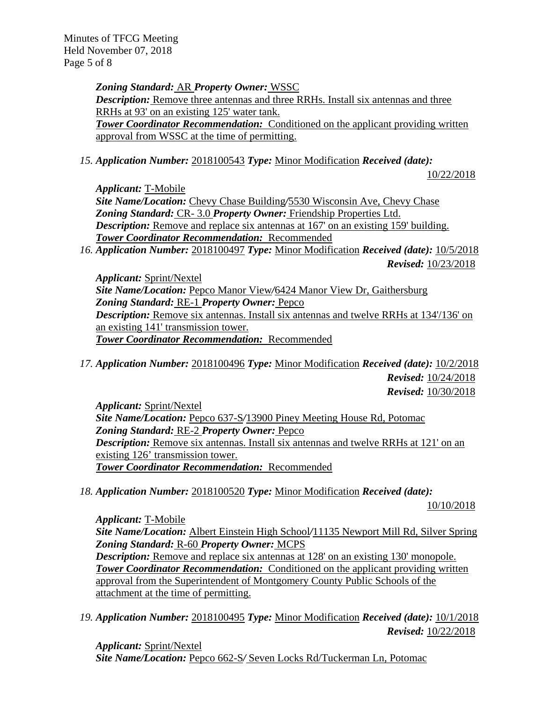Minutes of TFCG Meeting Held November 07, 2018 Page 5 of 8

> *Zoning Standard:* AR *Property Owner:* WSSC *Description:* Remove three antennas and three RRHs. Install six antennas and three RRHs at 93' on an existing 125' water tank. **Tower Coordinator Recommendation:** Conditioned on the applicant providing written approval from WSSC at the time of permitting.

*15. Application Number:* 2018100543 *Type:* Minor Modification *Received (date):* 

10/22/2018

*Applicant:* T-Mobile

*Site Name/Location:* Chevy Chase Building*/*5530 Wisconsin Ave, Chevy Chase *Zoning Standard:* CR- 3.0 *Property Owner:* Friendship Properties Ltd. *Description:* Remove and replace six antennas at 167' on an existing 159' building. *Tower Coordinator Recommendation:* Recommended

*16. Application Number:* 2018100497 *Type:* Minor Modification *Received (date):* 10/5/2018 *Revised:* 10/23/2018

*Applicant:* Sprint/Nextel *Site Name/Location:* Pepco Manor View*/*6424 Manor View Dr, Gaithersburg *Zoning Standard:* RE-1 *Property Owner:* Pepco *Description:* Remove six antennas. Install six antennas and twelve RRHs at 134'/136' on an existing 141' transmission tower. *Tower Coordinator Recommendation:* Recommended

*17. Application Number:* 2018100496 *Type:* Minor Modification *Received (date):* 10/2/2018 *Revised:* 10/24/2018 *Revised:* 10/30/2018

*Applicant:* Sprint/Nextel *Site Name/Location:* Pepco 637-S*/*13900 Piney Meeting House Rd, Potomac *Zoning Standard:* RE-2 *Property Owner:* Pepco *Description:* Remove six antennas. Install six antennas and twelve RRHs at 121' on an existing 126' transmission tower. *Tower Coordinator Recommendation:* Recommended

*18. Application Number:* 2018100520 *Type:* Minor Modification *Received (date):* 

10/10/2018

*Applicant:* T-Mobile *Site Name/Location:* Albert Einstein High School*/*11135 Newport Mill Rd, Silver Spring *Zoning Standard:* R-60 *Property Owner:* MCPS *Description:* Remove and replace six antennas at 128' on an existing 130' monopole. **Tower Coordinator Recommendation:** Conditioned on the applicant providing written approval from the Superintendent of Montgomery County Public Schools of the attachment at the time of permitting.

*19. Application Number:* 2018100495 *Type:* Minor Modification *Received (date):* 10/1/2018 *Revised:* 10/22/2018

*Applicant:* Sprint/Nextel *Site Name/Location:* Pepco 662-S*/* Seven Locks Rd/Tuckerman Ln, Potomac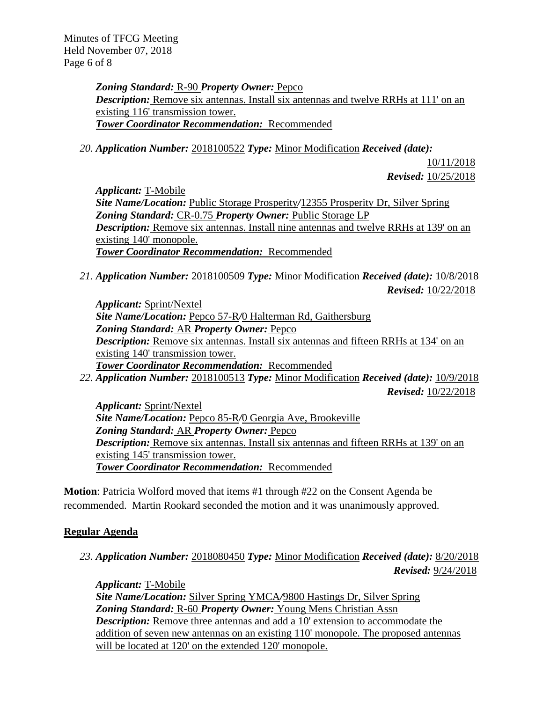Minutes of TFCG Meeting Held November 07, 2018 Page 6 of 8

> *Zoning Standard:* R-90 *Property Owner:* Pepco *Description:* Remove six antennas. Install six antennas and twelve RRHs at 111' on an existing 116' transmission tower. *Tower Coordinator Recommendation:* Recommended

*20. Application Number:* 2018100522 *Type:* Minor Modification *Received (date):* 

10/11/2018 *Revised:* 10/25/2018

*Applicant:* T-Mobile *Site Name/Location:* Public Storage Prosperity*/*12355 Prosperity Dr, Silver Spring *Zoning Standard:* CR-0.75 *Property Owner:* Public Storage LP *Description:* Remove six antennas. Install nine antennas and twelve RRHs at 139' on an existing 140' monopole. *Tower Coordinator Recommendation:* Recommended

*21. Application Number:* 2018100509 *Type:* Minor Modification *Received (date):* 10/8/2018 *Revised:* 10/22/2018

*Applicant:* Sprint/Nextel *Site Name/Location:* Pepco 57-R*/*0 Halterman Rd, Gaithersburg *Zoning Standard:* AR *Property Owner:* Pepco *Description:* Remove six antennas. Install six antennas and fifteen RRHs at 134' on an existing 140' transmission tower. *Tower Coordinator Recommendation:* Recommended *22. Application Number:* 2018100513 *Type:* Minor Modification *Received (date):* 10/9/2018

*Revised:* 10/22/2018

*Applicant:* Sprint/Nextel *Site Name/Location:* Pepco 85-R*/*0 Georgia Ave, Brookeville *Zoning Standard:* AR *Property Owner:* Pepco **Description:** Remove six antennas. Install six antennas and fifteen RRHs at 139' on an existing 145' transmission tower. *Tower Coordinator Recommendation:* Recommended

**Motion**: Patricia Wolford moved that items #1 through #22 on the Consent Agenda be recommended. Martin Rookard seconded the motion and it was unanimously approved.

# **Regular Agenda**

*23. Application Number:* 2018080450 *Type:* Minor Modification *Received (date):* 8/20/2018  *Revised:* 9/24/2018

*Applicant:* T-Mobile *Site Name/Location:* Silver Spring YMCA*/*9800 Hastings Dr, Silver Spring *Zoning Standard:* R-60 *Property Owner:* Young Mens Christian Assn *Description:* Remove three antennas and add a 10' extension to accommodate the addition of seven new antennas on an existing 110' monopole. The proposed antennas will be located at 120' on the extended 120' monopole.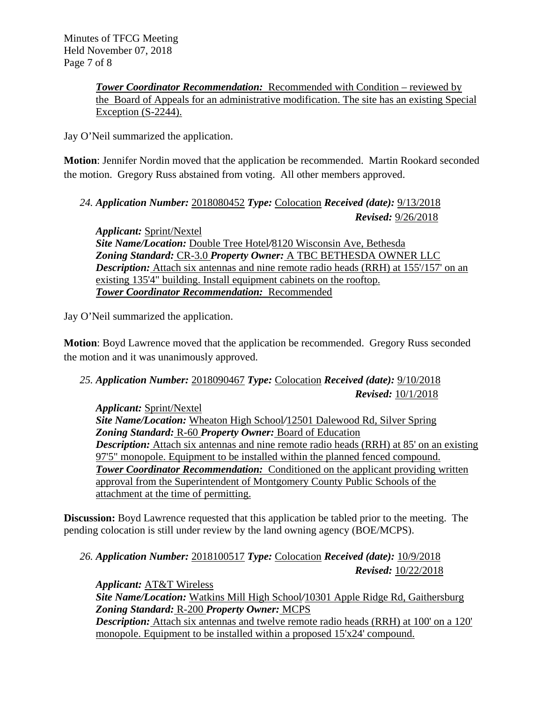*Tower Coordinator Recommendation:* Recommended with Condition – reviewed by the Board of Appeals for an administrative modification. The site has an existing Special Exception (S-2244).

Jay O'Neil summarized the application.

**Motion**: Jennifer Nordin moved that the application be recommended. Martin Rookard seconded the motion. Gregory Russ abstained from voting. All other members approved.

*24. Application Number:* 2018080452 *Type:* Colocation *Received (date):* 9/13/2018 *Revised:* 9/26/2018

*Applicant:* Sprint/Nextel *Site Name/Location:* Double Tree Hotel*/*8120 Wisconsin Ave, Bethesda *Zoning Standard:* CR-3.0 *Property Owner:* A TBC BETHESDA OWNER LLC *Description:* Attach six antennas and nine remote radio heads (RRH) at 155'/157' on an existing 135'4" building. Install equipment cabinets on the rooftop. *Tower Coordinator Recommendation:* Recommended

Jay O'Neil summarized the application.

**Motion**: Boyd Lawrence moved that the application be recommended. Gregory Russ seconded the motion and it was unanimously approved.

# *25. Application Number:* 2018090467 *Type:* Colocation *Received (date):* 9/10/2018 *Revised:* 10/1/2018

*Applicant:* Sprint/Nextel *Site Name/Location:* Wheaton High School*/*12501 Dalewood Rd, Silver Spring *Zoning Standard:* R-60 *Property Owner:* Board of Education *Description:* Attach six antennas and nine remote radio heads (RRH) at 85' on an existing 97'5" monopole. Equipment to be installed within the planned fenced compound. **Tower Coordinator Recommendation:** Conditioned on the applicant providing written approval from the Superintendent of Montgomery County Public Schools of the attachment at the time of permitting.

**Discussion:** Boyd Lawrence requested that this application be tabled prior to the meeting. The pending colocation is still under review by the land owning agency (BOE/MCPS).

# *26. Application Number:* 2018100517 *Type:* Colocation *Received (date):* 10/9/2018 *Revised:* 10/22/2018

*Applicant:* AT&T Wireless *Site Name/Location:* Watkins Mill High School*/*10301 Apple Ridge Rd, Gaithersburg *Zoning Standard:* R-200 *Property Owner:* MCPS **Description:** Attach six antennas and twelve remote radio heads (RRH) at 100' on a 120' monopole. Equipment to be installed within a proposed 15'x24' compound.